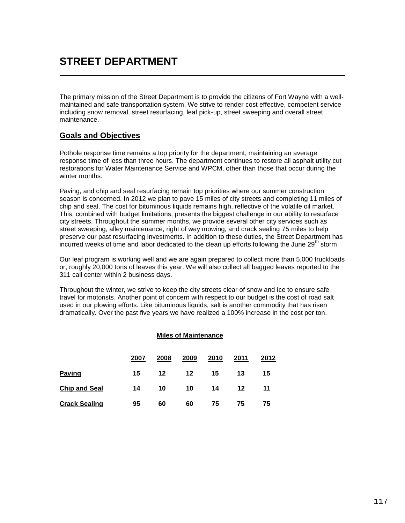## **STREET DEPARTMENT**

The primary mission of the Street Department is to provide the citizens of Fort Wayne with a wellmaintained and safe transportation system. We strive to render cost effective, competent service including snow removal, street resurfacing, leaf pick-up, street sweeping and overall street maintenance.

## **Goals and Objectives**

Pothole response time remains a top priority for the department, maintaining an average response time of less than three hours. The department continues to restore all asphalt utility cut restorations for Water Maintenance Service and WPCM, other than those that occur during the winter months.

Paving, and chip and seal resurfacing remain top priorities where our summer construction season is concerned. In 2012 we plan to pave 15 miles of city streets and completing 11 miles of chip and seal. The cost for bituminous liquids remains high, reflective of the volatile oil market. This, combined with budget limitations, presents the biggest challenge in our ability to resurface city streets. Throughout the summer months, we provide several other city services such as street sweeping, alley maintenance, right of way mowing, and crack sealing 75 miles to help preserve our past resurfacing investments. In addition to these duties, the Street Department has incurred weeks of time and labor dedicated to the clean up efforts following the June 29<sup>th</sup> storm.

Our leaf program is working well and we are again prepared to collect more than 5,000 truckloads or, roughly 20,000 tons of leaves this year. We will also collect all bagged leaves reported to the 311 call center within 2 business days.

Throughout the winter, we strive to keep the city streets clear of snow and ice to ensure safe travel for motorists. Another point of concern with respect to our budget is the cost of road salt used in our plowing efforts. Like bituminous liquids, salt is another commodity that has risen dramatically. Over the past five years we have realized a 100% increase in the cost per ton.

## **Miles of Maintenance**

|                      | 2007 | 2008    | 2009    | 2010 | 2011 | 2012 |
|----------------------|------|---------|---------|------|------|------|
| <b>Paving</b>        | 15   | $12 \,$ | $12 \,$ | 15   | 13   | 15   |
| <b>Chip and Seal</b> | 14   | 10      | 10      | 14   | 12   | 11   |
| <b>Crack Sealing</b> | 95   | 60      | 60      | 75   | 75   | 75   |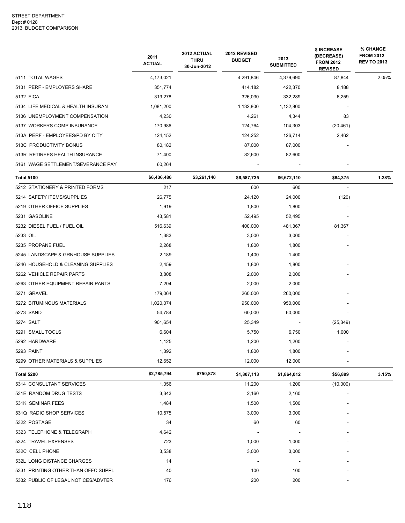|                                     | 2011<br><b>ACTUAL</b> | 2012 ACTUAL<br><b>THRU</b><br>30-Jun-2012 | 2012 REVISED<br><b>BUDGET</b> | 2013<br><b>SUBMITTED</b> | \$ INCREASE<br>(DECREASE)<br><b>FROM 2012</b><br><b>REVISED</b> | % CHANGE<br><b>FROM 2012</b><br><b>REV TO 2013</b> |
|-------------------------------------|-----------------------|-------------------------------------------|-------------------------------|--------------------------|-----------------------------------------------------------------|----------------------------------------------------|
| 5111 TOTAL WAGES                    | 4,173,021             |                                           | 4,291,846                     | 4,379,690                | 87,844                                                          | 2.05%                                              |
| 5131 PERF - EMPLOYERS SHARE         | 351,774               |                                           | 414,182                       | 422,370                  | 8,188                                                           |                                                    |
| 5132 FICA                           | 319,278               |                                           | 326,030                       | 332,289                  | 6,259                                                           |                                                    |
| 5134 LIFE MEDICAL & HEALTH INSURAN  | 1,081,200             |                                           | 1,132,800                     | 1,132,800                |                                                                 |                                                    |
| 5136 UNEMPLOYMENT COMPENSATION      | 4,230                 |                                           | 4,261                         | 4,344                    | 83                                                              |                                                    |
| 5137 WORKERS COMP INSURANCE         | 170,986               |                                           | 124,764                       | 104,303                  | (20, 461)                                                       |                                                    |
| 513A PERF - EMPLOYEES/PD BY CITY    | 124,152               |                                           | 124,252                       | 126,714                  | 2,462                                                           |                                                    |
| 513C PRODUCTIVITY BONUS             | 80,182                |                                           | 87,000                        | 87,000                   |                                                                 |                                                    |
| 513R RETIREES HEALTH INSURANCE      | 71,400                |                                           | 82,600                        | 82,600                   |                                                                 |                                                    |
| 5161 WAGE SETTLEMENT/SEVERANCE PAY  | 60,264                |                                           |                               |                          |                                                                 |                                                    |
| <b>Total 5100</b>                   | \$6,436,486           | \$3,261,140                               | \$6,587,735                   | \$6,672,110              | \$84,375                                                        | 1.28%                                              |
| 5212 STATIONERY & PRINTED FORMS     | 217                   |                                           | 600                           | 600                      |                                                                 |                                                    |
| 5214 SAFETY ITEMS/SUPPLIES          | 26,775                |                                           | 24,120                        | 24,000                   | (120)                                                           |                                                    |
| 5219 OTHER OFFICE SUPPLIES          | 1,919                 |                                           | 1,800                         | 1,800                    |                                                                 |                                                    |
| 5231 GASOLINE                       | 43,581                |                                           | 52,495                        | 52,495                   |                                                                 |                                                    |
| 5232 DIESEL FUEL / FUEL OIL         | 516,639               |                                           | 400,000                       | 481,367                  | 81,367                                                          |                                                    |
| 5233 OIL                            | 1,383                 |                                           | 3,000                         | 3,000                    |                                                                 |                                                    |
| 5235 PROPANE FUEL                   | 2,268                 |                                           | 1,800                         | 1,800                    |                                                                 |                                                    |
| 5245 LANDSCAPE & GRNHOUSE SUPPLIES  | 2,189                 |                                           | 1,400                         | 1,400                    |                                                                 |                                                    |
| 5246 HOUSEHOLD & CLEANING SUPPLIES  | 2,459                 |                                           | 1,800                         | 1,800                    |                                                                 |                                                    |
| 5262 VEHICLE REPAIR PARTS           | 3,808                 |                                           | 2,000                         | 2,000                    |                                                                 |                                                    |
| 5263 OTHER EQUIPMENT REPAIR PARTS   | 7,204                 |                                           | 2,000                         | 2,000                    |                                                                 |                                                    |
| 5271 GRAVEL                         | 179,064               |                                           | 260,000                       | 260,000                  |                                                                 |                                                    |
| 5272 BITUMINOUS MATERIALS           | 1,020,074             |                                           | 950,000                       | 950,000                  |                                                                 |                                                    |
| 5273 SAND                           | 54,784                |                                           | 60,000                        | 60,000                   |                                                                 |                                                    |
| 5274 SALT                           | 901,654               |                                           | 25,349                        |                          | (25, 349)                                                       |                                                    |
| 5291 SMALL TOOLS                    | 6,604                 |                                           | 5,750                         | 6,750                    | 1,000                                                           |                                                    |
| 5292 HARDWARE                       | 1,125                 |                                           | 1,200                         | 1,200                    |                                                                 |                                                    |
| 5293 PAINT                          | 1,392                 |                                           | 1,800                         | 1,800                    |                                                                 |                                                    |
| 5299 OTHER MATERIALS & SUPPLIES     | 12,652                |                                           | 12,000                        | 12,000                   |                                                                 |                                                    |
| Total 5200                          | \$2,785,794           | \$750,878                                 | \$1,807,113                   | \$1,864,012              | \$56,899                                                        | 3.15%                                              |
| 5314 CONSULTANT SERVICES            | 1,056                 |                                           | 11,200                        | 1,200                    | (10,000)                                                        |                                                    |
| 531E RANDOM DRUG TESTS              | 3,343                 |                                           | 2,160                         | 2,160                    |                                                                 |                                                    |
| 531K SEMINAR FEES                   | 1,484                 |                                           | 1,500                         | 1,500                    |                                                                 |                                                    |
| 531Q RADIO SHOP SERVICES            | 10,575                |                                           | 3,000                         | 3,000                    |                                                                 |                                                    |
| 5322 POSTAGE                        | 34                    |                                           | 60                            | 60                       |                                                                 |                                                    |
| 5323 TELEPHONE & TELEGRAPH          | 4,642                 |                                           |                               |                          |                                                                 |                                                    |
| 5324 TRAVEL EXPENSES                | 723                   |                                           | 1,000                         | 1,000                    |                                                                 |                                                    |
| 532C CELL PHONE                     | 3,538                 |                                           | 3,000                         | 3,000                    |                                                                 |                                                    |
| 532L LONG DISTANCE CHARGES          | 14                    |                                           |                               |                          |                                                                 |                                                    |
| 5331 PRINTING OTHER THAN OFFC SUPPL | 40                    |                                           | 100                           | 100                      |                                                                 |                                                    |
| 5332 PUBLIC OF LEGAL NOTICES/ADVTER | 176                   |                                           | 200                           | 200                      |                                                                 |                                                    |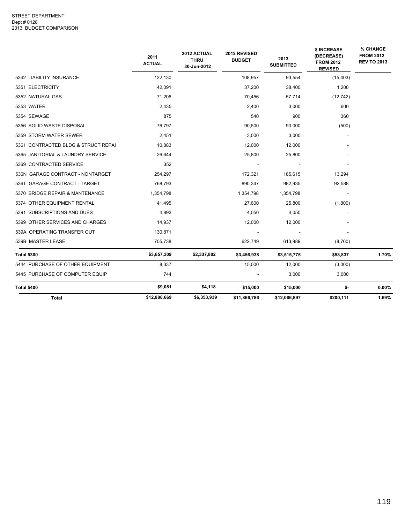|                                     | 2011<br><b>ACTUAL</b> | 2012 ACTUAL<br><b>THRU</b><br>30-Jun-2012 | 2012 REVISED<br><b>BUDGET</b> | 2013<br><b>SUBMITTED</b> | \$ INCREASE<br>(DECREASE)<br><b>FROM 2012</b><br><b>REVISED</b> | % CHANGE<br><b>FROM 2012</b><br><b>REV TO 2013</b> |
|-------------------------------------|-----------------------|-------------------------------------------|-------------------------------|--------------------------|-----------------------------------------------------------------|----------------------------------------------------|
| 5342 LIABILITY INSURANCE            | 122,130               |                                           | 108,957                       | 93,554                   | (15, 403)                                                       |                                                    |
| 5351 ELECTRICITY                    | 42,091                |                                           | 37,200                        | 38,400                   | 1,200                                                           |                                                    |
| 5352 NATURAL GAS                    | 71,206                |                                           | 70,456                        | 57,714                   | (12, 742)                                                       |                                                    |
| 5353 WATER                          | 2,435                 |                                           | 2,400                         | 3,000                    | 600                                                             |                                                    |
| 5354 SEWAGE                         | 875                   |                                           | 540                           | 900                      | 360                                                             |                                                    |
| 5356 SOLID WASTE DISPOSAL           | 76,797                |                                           | 90,500                        | 90,000                   | (500)                                                           |                                                    |
| 5359 STORM WATER SEWER              | 2,451                 |                                           | 3,000                         | 3,000                    |                                                                 |                                                    |
| 5361 CONTRACTED BLDG & STRUCT REPAI | 10,883                |                                           | 12,000                        | 12,000                   |                                                                 |                                                    |
| 5365 JANITORIAL & LAUNDRY SERVICE   | 26,644                |                                           | 25,800                        | 25,800                   |                                                                 |                                                    |
| 5369 CONTRACTED SERVICE             | 352                   |                                           |                               |                          |                                                                 |                                                    |
| 536N GARAGE CONTRACT - NONTARGET    | 254,297               |                                           | 172,321                       | 185,615                  | 13,294                                                          |                                                    |
| 536T GARAGE CONTRACT - TARGET       | 768,793               |                                           | 890,347                       | 982,935                  | 92,588                                                          |                                                    |
| 5370 BRIDGE REPAIR & MANTENANCE     | 1,354,798             |                                           | 1,354,798                     | 1,354,798                |                                                                 |                                                    |
| 5374 OTHER EQUIPMENT RENTAL         | 41,495                |                                           | 27,600                        | 25,800                   | (1,800)                                                         |                                                    |
| 5391 SUBSCRIPTIONS AND DUES         | 4,893                 |                                           | 4,050                         | 4,050                    |                                                                 |                                                    |
| 5399 OTHER SERVICES AND CHARGES     | 14,937                |                                           | 12,000                        | 12,000                   |                                                                 |                                                    |
| 539A OPERATING TRANSFER OUT         | 130,871               |                                           |                               |                          |                                                                 |                                                    |
| 539B MASTER LEASE                   | 705,738               |                                           | 622,749                       | 613,989                  | (8,760)                                                         |                                                    |
| <b>Total 5300</b>                   | \$3,657,309           | \$2,337,802                               | \$3,456,938                   | \$3,515,775              | \$58,837                                                        | 1.70%                                              |
| 5444 PURCHASE OF OTHER EQUIPMENT    | 8,337                 |                                           | 15,000                        | 12,000                   | (3,000)                                                         |                                                    |
| 5445 PURCHASE OF COMPUTER EQUIP     | 744                   |                                           |                               | 3,000                    | 3,000                                                           |                                                    |
| Total 5400                          | \$9,081               | \$4,118                                   | \$15,000                      | \$15,000                 | \$-                                                             | 0.00%                                              |
| <b>Total</b>                        | \$12,888,669          | \$6,353,939                               | \$11,866,786                  | \$12,066,897             | \$200,111                                                       | 1.69%                                              |